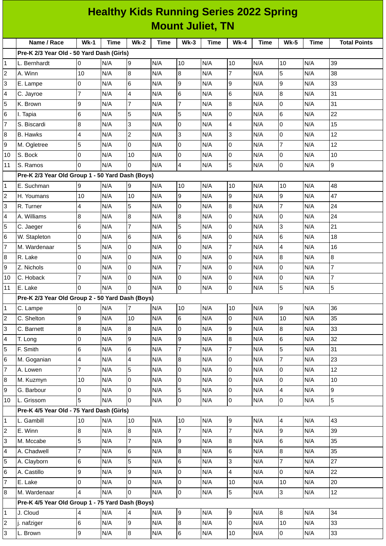|                | <b>Healthy Kids Running Series 2022 Spring</b>   |                |             |                         |             |                |             |                |             |                  |             |                     |
|----------------|--------------------------------------------------|----------------|-------------|-------------------------|-------------|----------------|-------------|----------------|-------------|------------------|-------------|---------------------|
|                | <b>Mount Juliet, TN</b>                          |                |             |                         |             |                |             |                |             |                  |             |                     |
|                | Name / Race                                      | $Wk-1$         | <b>Time</b> | $Wk-2$                  | <b>Time</b> | $Wk-3$         | <b>Time</b> | $Wk-4$         | <b>Time</b> | <b>Wk-5</b>      | <b>Time</b> | <b>Total Points</b> |
|                | Pre-K 2/3 Year Old - 50 Yard Dash (Girls)        |                |             |                         |             |                |             |                |             |                  |             |                     |
| 1              | L. Bernhardt                                     | 0              | N/A         | 9                       | N/A         | 10             | N/A         | 10             | N/A         | 10               | N/A         | 39                  |
| 2              | A. Winn                                          | 10             | N/A         | $\bf{8}$                | N/A         | 8              | N/A         | $\overline{7}$ | N/A         | 5                | N/A         | 38                  |
| 3              | E. Lampe                                         | 0              | N/A         | $6\phantom{a}$          | N/A         | 9              | N/A         | 9              | N/A         | 9                | N/A         | 33                  |
| 4              | C. Jayroe                                        | 7              | N/A         | 4                       | N/A         | 6              | N/A         | 6              | N/A         | $\boldsymbol{8}$ | N/A         | 31                  |
| 5              | K. Brown                                         | 9              | N/A         | 7                       | N/A         | 7              | N/A         | 8              | N/A         | 0                | N/A         | 31                  |
| 6              | I. Tapia                                         | 6              | N/A         | 5                       | N/A         | 5              | N/A         | 0              | N/A         | $\,$ 6           | N/A         | 22                  |
| 7              | S. Biscardi                                      | 8              | N/A         | 3                       | N/A         | 0              | N/A         | 4              | N/A         | $\overline{0}$   | N/A         | 15                  |
| 8              | <b>B.</b> Hawks                                  | 4              | N/A         | $\overline{c}$          | N/A         | 3              | N/A         | 3              | N/A         | $\overline{0}$   | N/A         | 12                  |
| 9              | M. Ogletree                                      | 5              | N/A         | $\mathbf 0$             | N/A         | 0              | N/A         | 0              | N/A         | $\overline{7}$   | N/A         | 12                  |
| 10             | S. Bock                                          | 0              | N/A         | 10                      | N/A         | 0              | N/A         | 0              | N/A         | 0                | N/A         | 10                  |
| 11             | S. Ramos                                         | $\Omega$       | N/A         | 0                       | N/A         | 4              | N/A         | 5              | N/A         | $\mathsf 0$      | N/A         | 9                   |
|                | Pre-K 2/3 Year Old Group 1 - 50 Yard Dash (Boys) |                |             |                         |             |                |             |                |             |                  |             |                     |
| 1              | E. Suchman                                       | 9              | N/A         | 9                       | N/A         | 10             | N/A         | $10\,$         | N/A         | 10               | N/A         | 48                  |
| 2              | H. Youmans                                       | 10             | N/A         | 10                      | N/A         | 9              | N/A         | 9              | N/A         | 9                | N/A         | 47                  |
| 3              | R. Turner                                        | 4              | N/A         | 5                       | N/A         | 0              | N/A         | 8              | N/A         | $\overline{7}$   | N/A         | 24                  |
| 4              | A. Williams                                      | 8              | N/A         | 8                       | N/A         | 8              | N/A         | 0              | N/A         | $\overline{0}$   | N/A         | 24                  |
| 5              | C. Jaeger                                        | 6              | N/A         | $\overline{7}$          | N/A         | 5              | N/A         | 0              | N/A         | 3                | N/A         | 21                  |
| 6              | W. Stapleton                                     | 0              | N/A         | $\,6$                   | N/A         | 6              | N/A         | 0              | N/A         | $\,6$            | N/A         | 18                  |
| 7              | M. Wardenaar                                     | 5              | N/A         | 0                       | N/A         | 0              | N/A         | $\overline{7}$ | N/A         | 4                | N/A         | 16                  |
| 8              | R. Lake                                          | 0              | N/A         | $\mathbf 0$             | N/A         | 0              | N/A         | 0              | N/A         | $\overline{8}$   | N/A         | 8                   |
| 9              | Z. Nichols                                       | 0              | N/A         | 0                       | N/A         | 7              | N/A         | 0              | N/A         | 0                | N/A         | $\overline{7}$      |
| 10             | C. Hoback                                        | $\overline{7}$ | N/A         | $\overline{0}$          | N/A         | 0              | N/A         | 0              | N/A         | $\mathsf{O}$     | N/A         | $\overline{7}$      |
| 11             | E. Lake                                          | 0              | N/A         | 0                       | N/A         | 0              | N/A         | 0              | N/A         | 5                | N/A         | 5                   |
|                | Pre-K 2/3 Year Old Group 2 - 50 Yard Dash (Boys) |                |             |                         |             |                |             |                |             |                  |             |                     |
| 1              | C. Lampe                                         | 0              | N/A         | $\overline{7}$          | N/A         | 10             | N/A         | 10             | N/A         | 9                | N/A         | 36                  |
| 2              | C. Shelton                                       | 9              | N/A         | 10                      | N/A         | 6              | N/A         | $\overline{0}$ | N/A         | 10               | N/A         | 35                  |
| 3              | C. Barnett                                       | 8              | N/A         | 8                       | N/A         | 0              | N/A         | 9              | N/A         | $\bf{8}$         | N/A         | 33                  |
| 4              | T. Long                                          | 0              | N/A         | 9                       | N/A         | 9              | N/A         | 8              | N/A         | $\,6$            | N/A         | 32                  |
| 5              | F. Smith                                         | 6              | N/A         | $\,$ 6                  | N/A         | $\overline{7}$ | N/A         | $\overline{7}$ | N/A         | 5                | N/A         | 31                  |
| 6              | M. Goganian                                      | 4              | N/A         | $\overline{\mathbf{4}}$ | N/A         | 8              | N/A         | 0              | N/A         | $\overline{7}$   | N/A         | 23                  |
| 7              | A. Lowen                                         | 7              | N/A         | 5                       | N/A         | 0              | N/A         | 0              | N/A         | O                | N/A         | 12                  |
| 8              | M. Kuzmyn                                        | 10             | N/A         | 0                       | N/A         | 0              | N/A         | 0              | N/A         | $\overline{0}$   | N/A         | 10                  |
| 9              | G. Barbour                                       | 0              | N/A         | $\mathsf 0$             | N/A         | 5              | N/A         | 0              | N/A         | $\overline{4}$   | N/A         | 9                   |
| 10             | L. Grissom                                       | 5              | N/A         | 0                       | N/A         | 0              | N/A         | 0              | N/A         | $\mathsf{O}$     | N/A         | 5                   |
|                | Pre-K 4/5 Year Old - 75 Yard Dash (Girls)        |                |             |                         |             |                |             |                |             |                  |             |                     |
| 1              | L. Gambill                                       | 10             | N/A         | 10                      | N/A         | 10             | N/A         | 9              | N/A         | 4                | N/A         | 43                  |
| 2              | E. Winn                                          | $8\,$          | N/A         | 8                       | N/A         | $\overline{7}$ | N/A         | $\overline{7}$ | N/A         | $\overline{9}$   | N/A         | 39                  |
| 3              | M. Mccabe                                        | 5              | N/A         | $\overline{7}$          | N/A         | 9              | N/A         | 8              | N/A         | $\,6$            | N/A         | 35                  |
| 4              | A. Chadwell                                      | 7              | N/A         | $\,6$                   | N/A         | 8              | N/A         | 6              | N/A         | $\overline{8}$   | N/A         | 35                  |
| 5              | A. Clayborn                                      | 6              | N/A         | 5                       | N/A         | 6              | N/A         | 3              | N/A         | $\overline{7}$   | N/A         | 27                  |
| 6              | A. Castillo                                      | 9              | N/A         | 9                       | N/A         | 0              | N/A         | 4              | N/A         | $\overline{0}$   | N/A         | 22                  |
| 7              | E. Lake                                          | 0              | N/A         | $\overline{0}$          | N/A         | 0              | N/A         | 10             | N/A         | 10               | N/A         | 20                  |
| 8              | M. Wardenaar                                     | 4              | N/A         | 0                       | N/A         | 0              | N/A         | 5              | N/A         | $\mathsf{S}$     | N/A         | 12                  |
|                | Pre-K 4/5 Year Old Group 1 - 75 Yard Dash (Boys) |                |             |                         |             |                |             |                |             |                  |             |                     |
| 1              | J. Cloud                                         | 4              | N/A         | 4                       | N/A         | 9              | N/A         | 9              | N/A         | 8                | N/A         | 34                  |
| $\overline{c}$ | j. nafziger                                      | $6\phantom{.}$ | N/A         | 9                       | N/A         | 8              | N/A         | 0              | N/A         | 10               | N/A         | 33                  |
| 3              | L. Brown                                         | $\overline{9}$ | N/A         | $\bf{8}$                | N/A         | 6              | N/A         | $10\,$         | N/A         | $\overline{0}$   | N/A         | 33                  |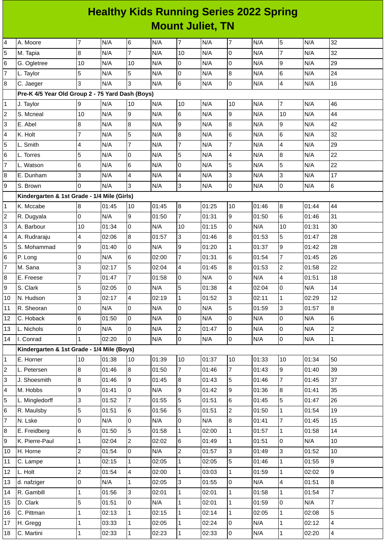## **Healthy Kids Running Series 2022 Spring Mount Juliet, TN**

| 4                       | A. Moore                                         | $\overline{7}$          | N/A   | 6              | N/A   | $\overline{7}$ | N/A   | $\overline{7}$ | N/A   | 5              | N/A   | 32             |
|-------------------------|--------------------------------------------------|-------------------------|-------|----------------|-------|----------------|-------|----------------|-------|----------------|-------|----------------|
| 5                       | M. Tapia                                         | 8                       | N/A   | $\overline{7}$ | N/A   | 10             | N/A   | 0              | N/A   | $\overline{7}$ | N/A   | 32             |
| 6                       | G. Ogletree                                      | 10                      | N/A   | 10             | N/A   | 0              | N/A   | 0              | N/A   | 9              | N/A   | 29             |
| $\overline{7}$          | L. Taylor                                        | 5                       | N/A   | 5              | N/A   | $\mathbf 0$    | N/A   | 8              | N/A   | 6              | N/A   | 24             |
| 8                       | C. Jaeger                                        | 3                       | N/A   | 3              | N/A   | $\,$ 6         | N/A   | 0              | N/A   | 4              | N/A   | 16             |
|                         | Pre-K 4/5 Year Old Group 2 - 75 Yard Dash (Boys) |                         |       |                |       |                |       |                |       |                |       |                |
| $\mathbf{1}$            | J. Taylor                                        | 9                       | N/A   | 10             | N/A   | 10             | N/A   | 10             | N/A   | 7              | N/A   | 46             |
| $\overline{\mathbf{c}}$ | S. Mcneal                                        | $10\,$                  | N/A   | 9              | N/A   | 6              | N/A   | 9              | N/A   | 10             | N/A   | 44             |
| 3                       | E. Abel                                          | 8                       | N/A   | 8              | N/A   | 9              | N/A   | 8              | N/A   | 9              | N/A   | 42             |
| 4                       | K. Holt                                          | 7                       | N/A   | 5              | N/A   | 8              | N/A   | 6              | N/A   | 6              | N/A   | 32             |
| 5                       | L. Smith                                         | 4                       | N/A   | 7              | N/A   | $\overline{7}$ | N/A   | $\overline{7}$ | N/A   | 4              | N/A   | 29             |
| 6                       | L. Torres                                        | 5                       | N/A   | l0             | N/A   | 5              | N/A   | 4              | N/A   | $\bf{8}$       | N/A   | 22             |
| $\overline{7}$          | L. Watson                                        | 6                       | N/A   | 6              | N/A   | $\mathbf 0$    | N/A   | 5              | N/A   | 5              | N/A   | 22             |
| 8                       | E. Dunham                                        | 3                       | N/A   | 4              | N/A   | 4              | N/A   | 3              | N/A   | 3              | N/A   | 17             |
| 9                       | S. Brown                                         | $\Omega$                | N/A   | 3              | N/A   | 3              | N/A   | 0              | N/A   | 0              | N/A   | 6              |
|                         | Kindergarten & 1st Grade - 1/4 Mile (Girls)      |                         |       |                |       |                |       |                |       |                |       |                |
| $\mathbf{1}$            | K. Mccabe                                        | 8                       | 01:45 | 10             | 01:45 | $\bf{8}$       | 01:25 | 10             | 01:46 | $\bf{8}$       | 01:44 | 44             |
| $\overline{c}$          | R. Dugyala                                       | 0                       | N/A   | 9              | 01:50 | $\overline{7}$ | 01:31 | 9              | 01:50 | 6              | 01:46 | 31             |
| 3                       | A. Barbour                                       | 10                      | 01:34 | 0              | N/A   | 10             | 01:15 | 0              | N/A   | 10             | 01:31 | 30             |
| 4                       | A. Rudraraju                                     | $\overline{\mathbf{4}}$ | 02:06 | $\overline{8}$ | 01:57 | 3              | 01:46 | 8              | 01:53 | 5              | 01:47 | 28             |
| 5                       | S. Mohammad                                      | 9                       | 01:40 | l0             | N/A   | 9              | 01:20 | $\mathbf{1}$   | 01:37 | 9              | 01:42 | 28             |
| 6                       | P. Long                                          | 0                       | N/A   | 6              | 02:00 | $\overline{7}$ | 01:31 | 6              | 01:54 | $\overline{7}$ | 01:45 | 26             |
| $\overline{7}$          | M. Sana                                          | 3                       | 02:17 | $\overline{5}$ | 02:04 | 4              | 01:45 | 8              | 01:53 | $\overline{c}$ | 01:58 | 22             |
| 8                       | E. Freese                                        | 7                       | 01:47 | $\overline{7}$ | 01:58 | 0              | N/A   | 0              | N/A   | 4              | 01:51 | 18             |
| 9                       | S. Clark                                         | 5                       | 02:05 | 0              | N/A   | 5              | 01:38 | 4              | 02:04 | 0              | N/A   | 14             |
| 10                      | N. Hudson                                        | 3                       | 02:17 | 4              | 02:19 | $\mathbf{1}$   | 01:52 | 3              | 02:11 | $\mathbf{1}$   | 02:29 | 12             |
| 11                      | R. Sheoran                                       | 0                       | N/A   | 0              | N/A   | 0              | N/A   | 5              | 01:59 | 3              | 01:57 | 8              |
| 12                      | C. Hoback                                        | $6\phantom{.}6$         | 01:50 | 0              | N/A   | $\pmb{0}$      | N/A   | 0              | N/A   | 0              | N/A   | 6              |
| 13                      | L. Nichols                                       | l0                      | N/A   | l0             | N/A   | $\overline{c}$ | 01:47 | 0              | N/A   | 0              | N/A   | $\overline{c}$ |
| 14                      | I. Conrad                                        |                         | 02:20 | $\Omega$       | N/A   | $\overline{0}$ | N/A   | $\overline{0}$ | N/A   | O              | N/A   | $\mathbf 1$    |
|                         | Kindergarten & 1st Grade - 1/4 Mile (Boys)       |                         |       |                |       |                |       |                |       |                |       |                |
| 1                       | E. Horner                                        | 10                      | 01:38 | 10             | 01:39 | 10             | 01:37 | $10\,$         | 01:33 | 10             | 01:34 | 50             |
| $\overline{c}$          | L. Petersen                                      | $\overline{8}$          | 01:46 | $\overline{8}$ | 01:50 | $\overline{7}$ | 01:46 | $\overline{7}$ | 01:43 | 9              | 01:40 | 39             |
| 3                       | J. Shoesmith                                     | 8                       | 01:46 | 9              | 01:45 | $8\,$          | 01:43 | 5              | 01:46 | $\overline{7}$ | 01:45 | 37             |
| 4                       | M. Hobbs                                         | 9                       | 01:41 | 0              | N/A   | 9              | 01:42 | 9              | 01:36 | 8              | 01:41 | 35             |
| 5                       | L. Mingledorff                                   | 3                       | 01:52 | $\overline{7}$ | 01:55 | 5              | 01:51 | 6              | 01:45 | 5              | 01:47 | 26             |
| 6                       | R. Maulsby                                       | 5                       | 01:51 | 6              | 01:56 | 5              | 01:51 | $\mathbf{2}$   | 01:50 | $\mathbf{1}$   | 01:54 | 19             |
| $\overline{7}$          | N. Lske                                          | 0                       | N/A   | 0              | N/A   | 0              | N/A   | 8              | 01:41 | $\overline{7}$ | 01:45 | 15             |
| 8                       | E. Freidberg                                     | $6\phantom{.}6$         | 01:50 | 5              | 01:58 | $\mathbf{1}$   | 02:00 | $\mathbf 1$    | 01:57 | $\mathbf{1}$   | 01:58 | 14             |
| 9                       | K. Pierre-Paul                                   | 1                       | 02:04 | $\overline{2}$ | 02:02 | 6              | 01:49 | $\mathbf{1}$   | 01:51 | 0              | N/A   | 10             |
| 10                      | H. Horne                                         | $\overline{c}$          | 01:54 | 0              | N/A   | $\overline{c}$ | 01:57 | 3              | 01:49 | 3              | 01:52 | 10             |
| 11                      | C. Lampe                                         | 1                       | 02:15 | $\mathbf{1}$   | 02:05 | $\mathbf{1}$   | 02:05 | 5              | 01:46 | $\mathbf{1}$   | 01:55 | 9              |
| 12                      | L. Holt                                          | $\overline{c}$          | 01:54 | $\overline{4}$ | 02:00 | $\mathbf{1}$   | 03:03 | 1              | 01:59 | $\mathbf{1}$   | 02:02 | 9              |
| 13                      | d. nafziger                                      | 0                       | N/A   | $\mathbf{1}$   | 02:05 | 3              | 01:55 | 0              | N/A   | 4              | 01:51 | 8              |
| 14                      | R. Gambill                                       | 1                       | 01:56 | $\overline{3}$ | 02:01 | $\mathbf{1}$   | 02:01 | $\mathbf{1}$   | 01:58 | $\mathbf{1}$   | 01:54 | 7              |
| 15                      | D. Clark                                         | 5                       | 01:51 | 0              | N/A   | $\mathbf{1}$   | 02:01 | $\mathbf 1$    | 01:59 | 0              | N/A   | $\overline{7}$ |
| 16                      | C. Pittman                                       | 1                       | 02:13 | $\mathbf{1}$   | 02:15 | $\mathbf 1$    | 02:14 | $\mathbf{1}$   | 02:05 | $\mathbf{1}$   | 02:08 | 5              |
| 17                      | H. Gregg                                         | $\mathbf 1$             | 03:33 | $\mathbf{1}$   | 02:05 | $\mathbf{1}$   | 02:24 | 0              | N/A   | $\mathbf{1}$   | 02:12 | 4              |
| 18                      | C. Martini                                       | 1                       | 02:33 | $\mathbf{1}$   | 02:23 | $\mathbf{1}$   | 02:33 | 0              | N/A   | $\mathbf{1}$   | 02:20 | $\overline{4}$ |
|                         |                                                  |                         |       |                |       |                |       |                |       |                |       |                |